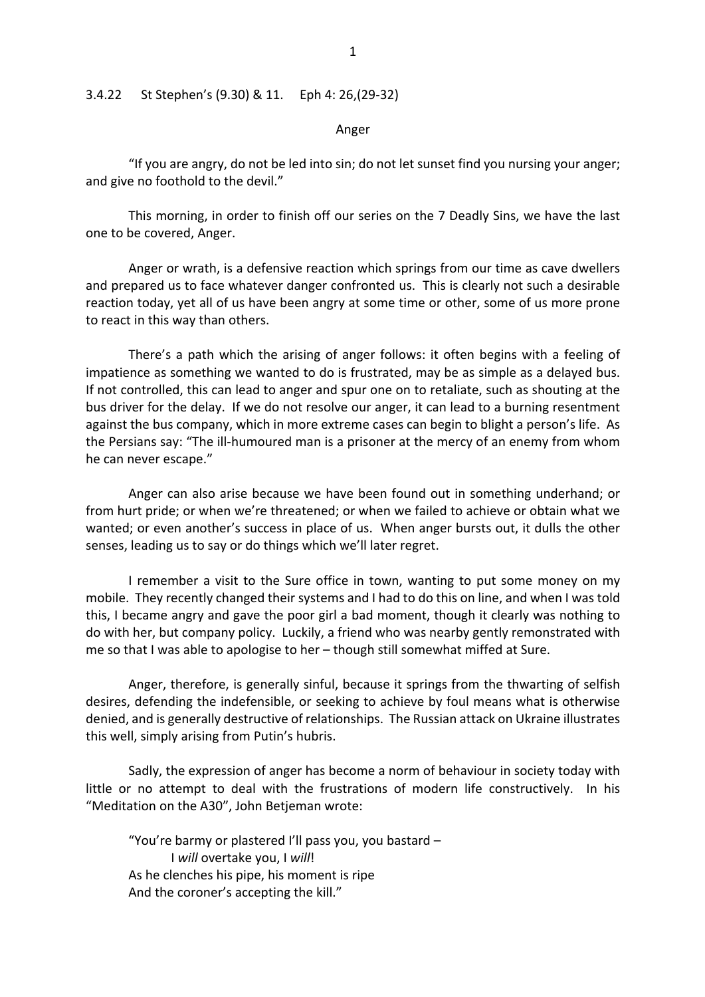## 3.4.22 St Stephen's (9.30) & 11. Eph 4: 26,(29-32)

Anger

"If you are angry, do not be led into sin; do not let sunset find you nursing your anger; and give no foothold to the devil."

This morning, in order to finish off our series on the 7 Deadly Sins, we have the last one to be covered, Anger.

Anger or wrath, is a defensive reaction which springs from our time as cave dwellers and prepared us to face whatever danger confronted us. This is clearly not such a desirable reaction today, yet all of us have been angry at some time or other, some of us more prone to react in this way than others.

There's a path which the arising of anger follows: it often begins with a feeling of impatience as something we wanted to do is frustrated, may be as simple as a delayed bus. If not controlled, this can lead to anger and spur one on to retaliate, such as shouting at the bus driver for the delay. If we do not resolve our anger, it can lead to a burning resentment against the bus company, which in more extreme cases can begin to blight a person's life. As the Persians say: "The ill-humoured man is a prisoner at the mercy of an enemy from whom he can never escape."

Anger can also arise because we have been found out in something underhand; or from hurt pride; or when we're threatened; or when we failed to achieve or obtain what we wanted; or even another's success in place of us. When anger bursts out, it dulls the other senses, leading us to say or do things which we'll later regret.

I remember a visit to the Sure office in town, wanting to put some money on my mobile. They recently changed their systems and I had to do this on line, and when I was told this, I became angry and gave the poor girl a bad moment, though it clearly was nothing to do with her, but company policy. Luckily, a friend who was nearby gently remonstrated with me so that I was able to apologise to her – though still somewhat miffed at Sure.

Anger, therefore, is generally sinful, because it springs from the thwarting of selfish desires, defending the indefensible, or seeking to achieve by foul means what is otherwise denied, and is generally destructive of relationships. The Russian attack on Ukraine illustrates this well, simply arising from Putin's hubris.

Sadly, the expression of anger has become a norm of behaviour in society today with little or no attempt to deal with the frustrations of modern life constructively. In his "Meditation on the A30", John Betjeman wrote:

"You're barmy or plastered I'll pass you, you bastard – I *will* overtake you, I *will*! As he clenches his pipe, his moment is ripe And the coroner's accepting the kill."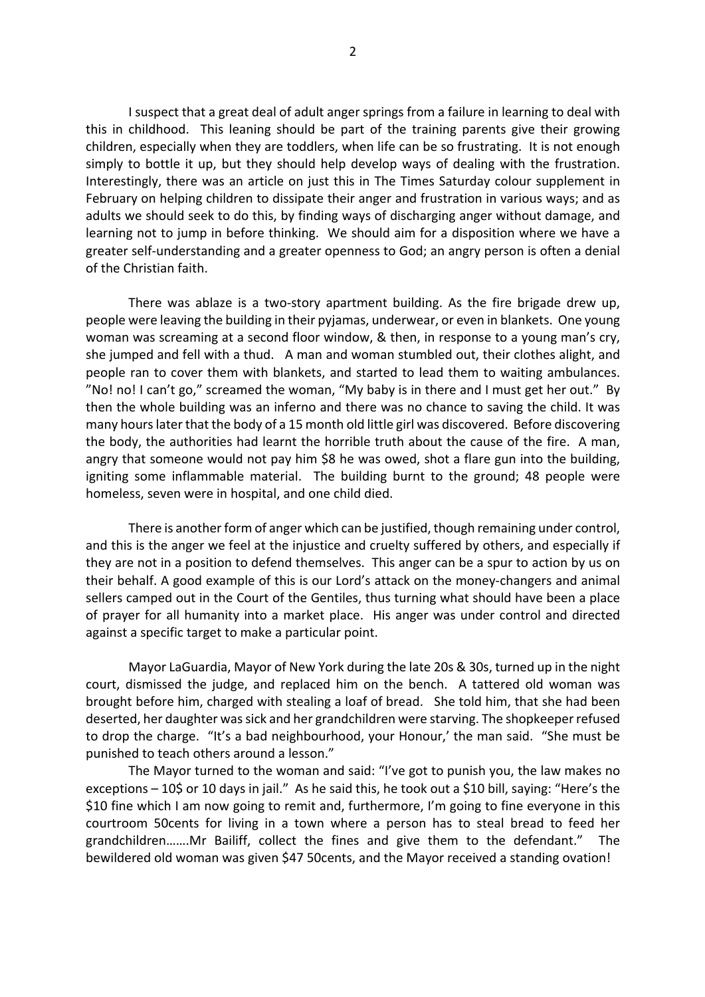I suspect that a great deal of adult anger springs from a failure in learning to deal with this in childhood. This leaning should be part of the training parents give their growing children, especially when they are toddlers, when life can be so frustrating. It is not enough simply to bottle it up, but they should help develop ways of dealing with the frustration. Interestingly, there was an article on just this in The Times Saturday colour supplement in February on helping children to dissipate their anger and frustration in various ways; and as adults we should seek to do this, by finding ways of discharging anger without damage, and learning not to jump in before thinking. We should aim for a disposition where we have a greater self-understanding and a greater openness to God; an angry person is often a denial of the Christian faith.

There was ablaze is a two-story apartment building. As the fire brigade drew up, people were leaving the building in their pyjamas, underwear, or even in blankets. One young woman was screaming at a second floor window, & then, in response to a young man's cry, she jumped and fell with a thud. A man and woman stumbled out, their clothes alight, and people ran to cover them with blankets, and started to lead them to waiting ambulances. "No! no! I can't go," screamed the woman, "My baby is in there and I must get her out." By then the whole building was an inferno and there was no chance to saving the child. It was many hours later that the body of a 15 month old little girl was discovered. Before discovering the body, the authorities had learnt the horrible truth about the cause of the fire. A man, angry that someone would not pay him \$8 he was owed, shot a flare gun into the building, igniting some inflammable material. The building burnt to the ground; 48 people were homeless, seven were in hospital, and one child died.

There is another form of anger which can be justified, though remaining under control, and this is the anger we feel at the injustice and cruelty suffered by others, and especially if they are not in a position to defend themselves. This anger can be a spur to action by us on their behalf. A good example of this is our Lord's attack on the money-changers and animal sellers camped out in the Court of the Gentiles, thus turning what should have been a place of prayer for all humanity into a market place. His anger was under control and directed against a specific target to make a particular point.

Mayor LaGuardia, Mayor of New York during the late 20s & 30s, turned up in the night court, dismissed the judge, and replaced him on the bench. A tattered old woman was brought before him, charged with stealing a loaf of bread. She told him, that she had been deserted, her daughter was sick and her grandchildren were starving. The shopkeeper refused to drop the charge. "It's a bad neighbourhood, your Honour,' the man said. "She must be punished to teach others around a lesson."

The Mayor turned to the woman and said: "I've got to punish you, the law makes no exceptions – 10\$ or 10 days in jail." As he said this, he took out a \$10 bill, saying: "Here's the \$10 fine which I am now going to remit and, furthermore, I'm going to fine everyone in this courtroom 50cents for living in a town where a person has to steal bread to feed her grandchildren…….Mr Bailiff, collect the fines and give them to the defendant." The bewildered old woman was given \$47 50cents, and the Mayor received a standing ovation!